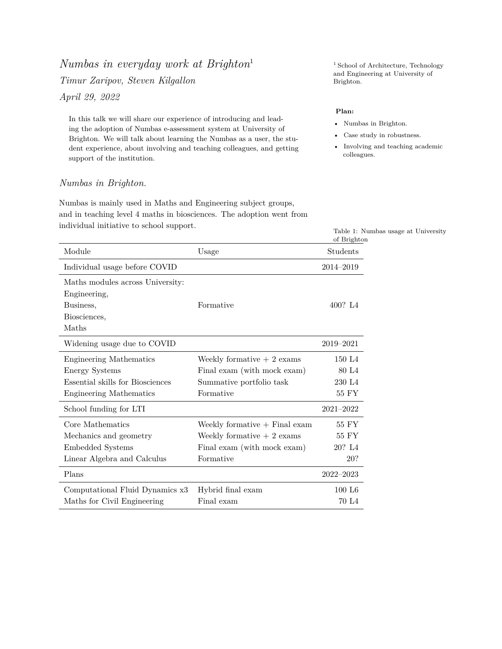# *Numbas in everyday work at Brighton*<sup>1</sup> <sup>1</sup> School of Architecture, Technology *Timur Zaripov, Steven Kilgallon* Brighton. *April 29, 2022*

In this talk we will share our experience of introducing and leading the adoption of Numbas e-assessment system at University of Brighton. We will talk about learning the Numbas as a user, the student experience, about involving and teaching colleagues, and getting support of the institution.

## *Numbas in Brighton.*

Numbas is mainly used in Maths and Engineering subject groups, and in teaching level 4 maths in biosciences. The adoption went from individual initiative to school support.

and Engineering at University of

#### **Plan:**

- Numbas in Brighton.
- Case study in robustness.
- Involving and teaching academic colleagues.

Table 1: Numbas usage at University of Brighton

|                                  |                                 | of Brighton        |
|----------------------------------|---------------------------------|--------------------|
| Module                           | Usage                           | Students           |
| Individual usage before COVID    |                                 | 2014-2019          |
| Maths modules across University: |                                 |                    |
| Engineering,                     |                                 |                    |
| Business,                        | Formative                       | 400? L4            |
| Biosciences,                     |                                 |                    |
| Maths                            |                                 |                    |
| Widening usage due to COVID      |                                 | 2019-2021          |
| <b>Engineering Mathematics</b>   | Weekly formative $+2$ exams     | 150 L <sub>4</sub> |
| <b>Energy Systems</b>            | Final exam (with mock exam)     | 80 L <sub>4</sub>  |
| Essential skills for Biosciences | Summative portfolio task        | 230 L <sub>4</sub> |
| <b>Engineering Mathematics</b>   | Formative                       | $55~\mathrm{FY}$   |
| School funding for LTI           |                                 | $2021 - 2022$      |
| Core Mathematics                 | Weekly formative $+$ Final exam | 55 FY              |
| Mechanics and geometry           | Weekly formative $+2$ exams     | 55 FY              |
| Embedded Systems                 | Final exam (with mock exam)     | 20? L4             |
| Linear Algebra and Calculus      | Formative                       | 20?                |
| Plans                            |                                 | $2022 - 2023$      |
| Computational Fluid Dynamics x3  | Hybrid final exam               | 100 L6             |
| Maths for Civil Engineering      | Final exam                      | 70 L <sub>4</sub>  |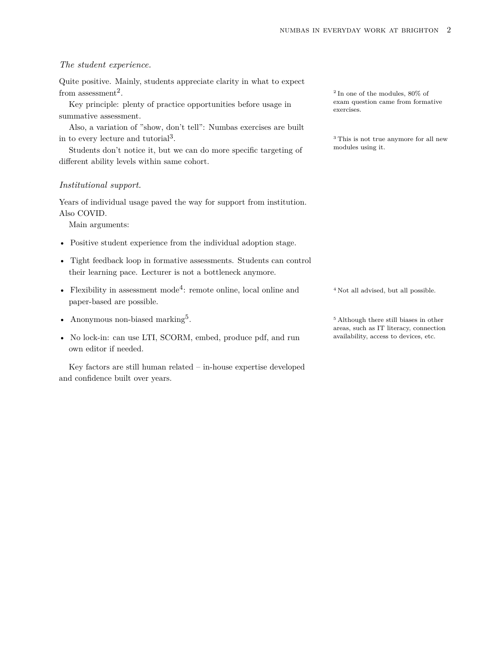#### *The student experience.*

Quite positive. Mainly, students appreciate clarity in what to expect from assessment<sup>2</sup>.

Key principle: plenty of practice opportunities before usage in summative assessment.

Also, a variation of "show, don't tell": Numbas exercises are built in to every lecture and tutorial<sup>3</sup>.

Students don't notice it, but we can do more specific targeting of modules using it. different ability levels within same cohort.

#### *Institutional support.*

Years of individual usage paved the way for support from institution. Also COVID.

Main arguments:

- Positive student experience from the individual adoption stage.
- Tight feedback loop in formative assessments. Students can control their learning pace. Lecturer is not a bottleneck anymore.
- Flexibility in assessment mode<sup>4</sup>: remote online, local online and  $4 Not$  all advised, but all possible. paper-based are possible.
- Anonymous non-biased marking<sup>5</sup>.
- No lock-in: can use LTI, SCORM, embed, produce pdf, and run availability, access to devices, etc. own editor if needed.

Key factors are still human related – in-house expertise developed and confidence built over years.

2 In one of the modules, 80% of exam question came from formative exercises.

<sup>3</sup> This is not true anymore for all new

<sup>5</sup> Although there still biases in other areas, such as IT literacy, connection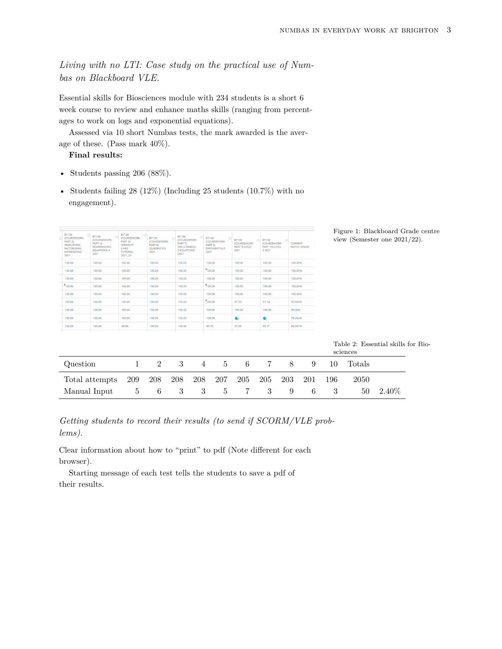*Living with no LTI: Case study on the practical use of Numbas on Blackboard VLE.*

Essential skills for Biosciences module with 234 students is a short 6 week course to review and enhance maths skills (ranging from percentages to work on logs and exponential equations).

Assessed via 10 short Numbas tests, the mark awarded is the average of these. (Pass mark 40%).

#### **Final results:**

- Students passing 206 (88%).
- Students failing  $28 \ (12\%)$  (Including  $25$  students  $(10.7\%)$  with no engagement).

| <b>BY138</b><br><b>(COURSEWORK)</b><br>PART 3)<br>SIMPLIFYING.<br><b>FACTORISING</b><br><b>EXPRESSIONS</b><br>2021 | <b>BY138</b><br><b><i>ICOURSEWORK</i></b><br>PART <sub>4</sub> )<br><b>REARRANGING</b><br><b>EOUATIONS A</b><br>2021 | <b>BY138</b><br><b>(COURSEWORK)</b><br>PART 5)<br><b>STRAIGHT</b><br><b>LINES</b><br><b>TUTORIAL</b><br>2021 22 | <b>BY138</b><br><b>(COURSEWORK)</b><br>PART 6)<br><b>OUADRATICS</b><br>2021 | <b>BY138</b><br><b>ICOURSEWORK</b><br>PART 7)<br>SIMULTANEOU<br>S EQUATIONS<br>2021 | <b>BY138</b><br><b>(COURSEWORK)</b><br>PART 8)<br><b>EXPONENTIALS</b><br>2021 | <b>BY138</b><br><b>(COURSEWORK)</b><br>PART 9) LOGS<br>2021 | <b>BY138</b><br><b>(COURSEWORK)</b><br>PART 10) LOGS<br>2 2 0 2 1 | <b>CURRENT</b><br><b>MATHS GRADE</b> |
|--------------------------------------------------------------------------------------------------------------------|----------------------------------------------------------------------------------------------------------------------|-----------------------------------------------------------------------------------------------------------------|-----------------------------------------------------------------------------|-------------------------------------------------------------------------------------|-------------------------------------------------------------------------------|-------------------------------------------------------------|-------------------------------------------------------------------|--------------------------------------|
| 100.00                                                                                                             | 100.00                                                                                                               | 100.00                                                                                                          | 100.00                                                                      | 100.00                                                                              | 100.00                                                                        | 100.00                                                      | 100.00                                                            | 100,00%                              |
| 100.00                                                                                                             | 100.00                                                                                                               | 100.00                                                                                                          | 100.00                                                                      | 100.00                                                                              | 100.00                                                                        | 100.00                                                      | 100.00                                                            | 100.00%                              |
| 100.00                                                                                                             | 100.00                                                                                                               | 100.00                                                                                                          | 100.00                                                                      | 100.00                                                                              | 100.00                                                                        | 100.00                                                      | 100.00                                                            | 100.00%                              |
| 100.00                                                                                                             | 100.00                                                                                                               | 100.00                                                                                                          | 100.00                                                                      | 100.00                                                                              | 100.00                                                                        | 100.00                                                      | 100.00                                                            | 100,00%                              |
| 100.00                                                                                                             | 100.00                                                                                                               | 100.00                                                                                                          | 100.00                                                                      | 100.00                                                                              | 100.00                                                                        | 100.00                                                      | 100.00                                                            | 100,00%                              |
| 100.00                                                                                                             | 100.00                                                                                                               | 100.00                                                                                                          | 100.00                                                                      | 100.00                                                                              | 100.00                                                                        | 87.50                                                       | 57.14                                                             | 93.038%                              |
| 100.00                                                                                                             | 100.00                                                                                                               | 100.00                                                                                                          | 100.00                                                                      | 100.00                                                                              | 100.00                                                                        | 100.00                                                      | 100.00                                                            | 90.00%                               |
| 100.00                                                                                                             | 100.00                                                                                                               | 100.00                                                                                                          | 100.00                                                                      | 100.00                                                                              | 100.00                                                                        | $\bullet$                                                   | $\bullet$                                                         | 79.444%                              |
| 100.00                                                                                                             | 100.00                                                                                                               | 86.96                                                                                                           | 100.00                                                                      | 100.00                                                                              | 93.75                                                                         | 87.50                                                       | 85.71                                                             | 94.281%                              |
|                                                                                                                    |                                                                                                                      |                                                                                                                 |                                                                             |                                                                                     |                                                                               |                                                             |                                                                   |                                      |
|                                                                                                                    |                                                                                                                      |                                                                                                                 |                                                                             |                                                                                     |                                                                               |                                                             |                                                                   |                                      |

Figure 1: Blackboard Grade centre view (Semester one 2021/22).

Table 2: Essential skills for Bio-

|                |          |     |     |   |              |     |     |     | sciences |     |        |          |
|----------------|----------|-----|-----|---|--------------|-----|-----|-----|----------|-----|--------|----------|
| Question       |          | 2   | -3- | 4 | $5 -$        | 6 — |     | 8   | 9        | 10. | Totals |          |
| Total attempts | 209      | 208 | 208 |   | 208 207      | 205 | 205 | 203 | 201      | 196 | 2050   |          |
| Manual Input   | $\sigma$ | 6   | -3  | 3 | $\mathbf{5}$ |     | 3   | 9   | 6        |     | 50     | $2.40\%$ |

*Getting students to record their results (to send if SCORM/VLE problems).*

Clear information about how to "print" to pdf (Note different for each browser).

Starting message of each test tells the students to save a pdf of their results.